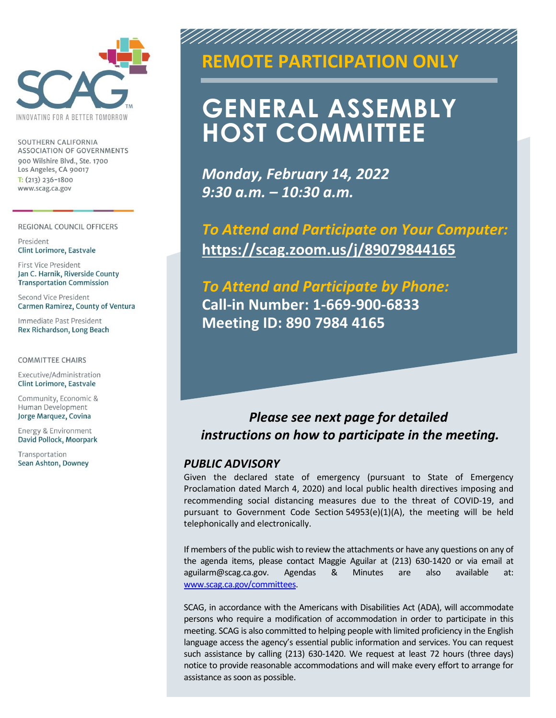

SOUTHERN CALIFORNIA ASSOCIATION OF GOVERNMENTS 900 Wilshire Blvd., Ste. 1700 Los Angeles, CA 90017  $T: (213)$  236-1800 www.scag.ca.gov

#### REGIONAL COUNCIL OFFICERS

President Clint Lorimore, Eastvale

First Vice President Jan C. Harnik, Riverside County **Transportation Commission** 

Second Vice President Carmen Ramirez, County of Ventura

Immediate Past President Rex Richardson, Long Beach

**COMMITTEE CHAIRS** 

Executive/Administration Clint Lorimore, Eastvale

Community, Economic & Human Development Jorge Marquez, Covina

Energy & Environment David Pollock, Moorpark

Transportation Sean Ashton, Downey

### **SPECIAL MEETING REMOTE PARTICIPATION ONLY**

AN AN AN AN AN AN AN AN

# **GENERAL ASSEMBLY HOST COMMITTEE**

*Monday, February 14, 2022 9:30 a.m. – 10:30 a.m.*

*To Attend and Participate on Your Computer:*  **<https://scag.zoom.us/j/89079844165>**

*To Attend and Participate by Phone:* **Call-in Number: 1-669-900-6833 Meeting ID: 890 7984 4165**

### *Please see next page for detailed instructions on how to participate in the meeting.*

#### *PUBLIC ADVISORY*

Given the declared state of emergency (pursuant to State of Emergency Proclamation dated March 4, 2020) and local public health directives imposing and recommending social distancing measures due to the threat of COVID-19, and pursuant to Government Code Section 54953(e)(1)(A), the meeting will be held telephonically and electronically.

If members of the public wish to review the attachments or have any questions on any of the agenda items, please contact Maggie Aguilar at (213) 630-1420 or via email at aguilarm@scag.ca.gov. Agendas & Minutes are also available at: [www.scag.ca.gov/committees.](http://www.scag.ca.gov/committees)

SCAG, in accordance with the Americans with Disabilities Act (ADA), will accommodate persons who require a modification of accommodation in order to participate in this meeting. SCAG is also committed to helping people with limited proficiency in the English language access the agency's essential public information and services. You can request such assistance by calling (213) 630-1420. We request at least 72 hours (three days) notice to provide reasonable accommodations and will make every effort to arrange for assistance as soon as possible.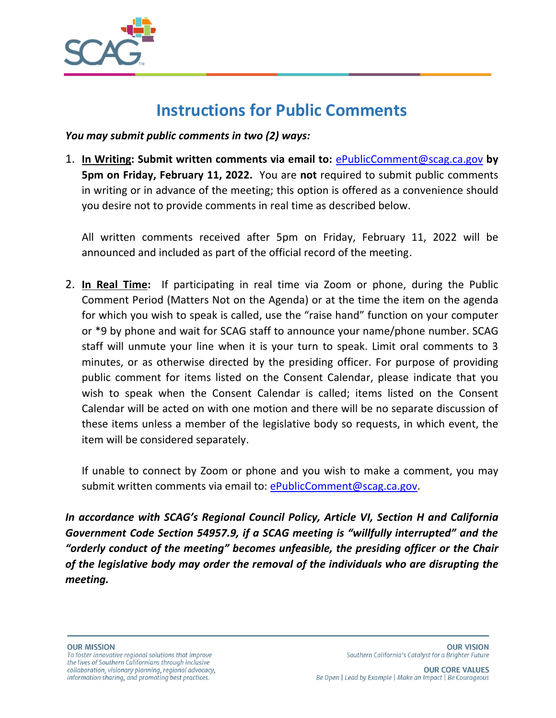

# **Instructions for Public Comments**

*You may submit public comments in two (2) ways:*

1. **In Writing: Submit written comments via email to:** [ePublicComment@scag.ca.gov](mailto:ePublicComment@scag.ca.gov) **by 5pm on Friday, February 11, 2022.** You are **not** required to submit public comments in writing or in advance of the meeting; this option is offered as a convenience should you desire not to provide comments in real time as described below.

All written comments received after 5pm on Friday, February 11, 2022 will be announced and included as part of the official record of the meeting.

2. **In Real Time:** If participating in real time via Zoom or phone, during the Public Comment Period (Matters Not on the Agenda) or at the time the item on the agenda for which you wish to speak is called, use the "raise hand" function on your computer or \*9 by phone and wait for SCAG staff to announce your name/phone number. SCAG staff will unmute your line when it is your turn to speak. Limit oral comments to 3 minutes, or as otherwise directed by the presiding officer. For purpose of providing public comment for items listed on the Consent Calendar, please indicate that you wish to speak when the Consent Calendar is called; items listed on the Consent Calendar will be acted on with one motion and there will be no separate discussion of these items unless a member of the legislative body so requests, in which event, the item will be considered separately.

If unable to connect by Zoom or phone and you wish to make a comment, you may submit written comments via email to: [ePublicComment@scag.ca.gov.](mailto:ePublicComment@scag.ca.gov)

*In accordance with SCAG's Regional Council Policy, Article VI, Section H and California Government Code Section 54957.9, if a SCAG meeting is "willfully interrupted" and the*  "orderly conduct of the meeting" becomes unfeasible, the presiding officer or the Chair *of the legislative body may order the removal of the individuals who are disrupting the meeting.*

To foster innovative regional solutions that improve the lives of Southern Californians through inclusive collaboration, visionary planning, regional advocacy, information sharing, and promoting best practices.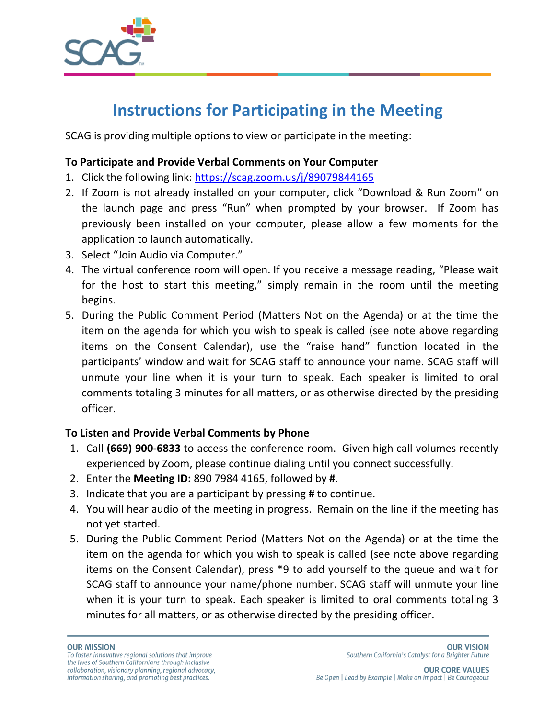

# **Instructions for Participating in the Meeting**

SCAG is providing multiple options to view or participate in the meeting:

#### **To Participate and Provide Verbal Comments on Your Computer**

- 1. Click the following link: <https://scag.zoom.us/j/89079844165>
- 2. If Zoom is not already installed on your computer, click "Download & Run Zoom" on the launch page and press "Run" when prompted by your browser. If Zoom has previously been installed on your computer, please allow a few moments for the application to launch automatically.
- 3. Select "Join Audio via Computer."
- 4. The virtual conference room will open. If you receive a message reading, "Please wait for the host to start this meeting," simply remain in the room until the meeting begins.
- 5. During the Public Comment Period (Matters Not on the Agenda) or at the time the item on the agenda for which you wish to speak is called (see note above regarding items on the Consent Calendar), use the "raise hand" function located in the participants' window and wait for SCAG staff to announce your name. SCAG staff will unmute your line when it is your turn to speak. Each speaker is limited to oral comments totaling 3 minutes for all matters, or as otherwise directed by the presiding officer.

#### **To Listen and Provide Verbal Comments by Phone**

- 1. Call **(669) 900-6833** to access the conference room. Given high call volumes recently experienced by Zoom, please continue dialing until you connect successfully.
- 2. Enter the **Meeting ID:** 890 7984 4165, followed by **#**.
- 3. Indicate that you are a participant by pressing **#** to continue.
- 4. You will hear audio of the meeting in progress. Remain on the line if the meeting has not yet started.
- 5. During the Public Comment Period (Matters Not on the Agenda) or at the time the item on the agenda for which you wish to speak is called (see note above regarding items on the Consent Calendar), press \*9 to add yourself to the queue and wait for SCAG staff to announce your name/phone number. SCAG staff will unmute your line when it is your turn to speak. Each speaker is limited to oral comments totaling 3 minutes for all matters, or as otherwise directed by the presiding officer.

#### **OUR MISSION**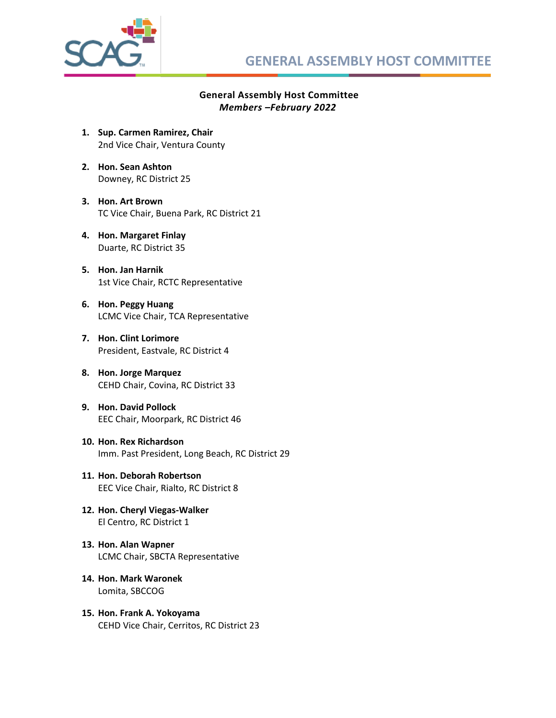

#### **General Assembly Host Committee** *Members –February 2022*

- **1. Sup. Carmen Ramirez, Chair** 2nd Vice Chair, Ventura County
- **2. Hon. Sean Ashton** Downey, RC District 25
- **3. Hon. Art Brown**  TC Vice Chair, Buena Park, RC District 21
- **4. Hon. Margaret Finlay**  Duarte, RC District 35
- **5. Hon. Jan Harnik** 1st Vice Chair, RCTC Representative
- **6. Hon. Peggy Huang** LCMC Vice Chair, TCA Representative
- **7. Hon. Clint Lorimore** President, Eastvale, RC District 4
- **8. Hon. Jorge Marquez** CEHD Chair, Covina, RC District 33
- **9. Hon. David Pollock** EEC Chair, Moorpark, RC District 46
- **10. Hon. Rex Richardson** Imm. Past President, Long Beach, RC District 29
- **11. Hon. Deborah Robertson**  EEC Vice Chair, Rialto, RC District 8
- **12. Hon. Cheryl Viegas-Walker** El Centro, RC District 1
- **13. Hon. Alan Wapner**  LCMC Chair, SBCTA Representative
- **14. Hon. Mark Waronek**  Lomita, SBCCOG
- **15. Hon. Frank A. Yokoyama**  CEHD Vice Chair, Cerritos, RC District 23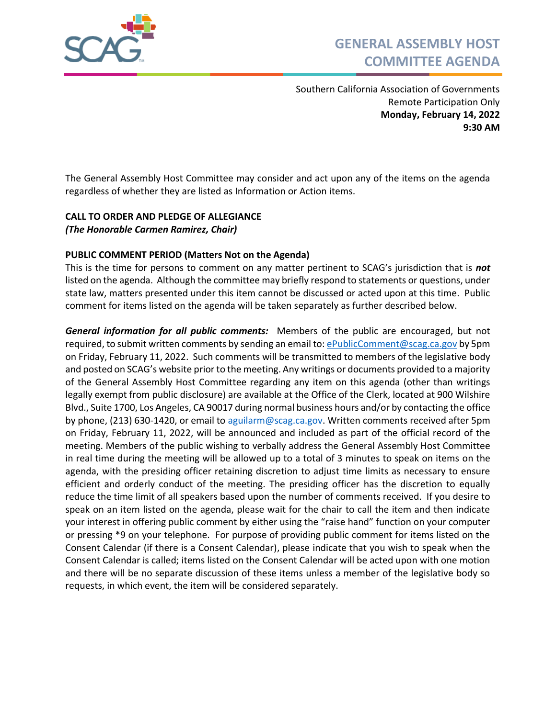

Southern California Association of Governments Remote Participation Only **Monday, February 14, 2022 9:30 AM**

The General Assembly Host Committee may consider and act upon any of the items on the agenda regardless of whether they are listed as Information or Action items.

#### **CALL TO ORDER AND PLEDGE OF ALLEGIANCE** *(The Honorable Carmen Ramirez, Chair)*

#### **PUBLIC COMMENT PERIOD (Matters Not on the Agenda)**

This is the time for persons to comment on any matter pertinent to SCAG's jurisdiction that is *not* listed on the agenda. Although the committee may briefly respond to statements or questions, under state law, matters presented under this item cannot be discussed or acted upon at this time. Public comment for items listed on the agenda will be taken separately as further described below.

*General information for all public comments:* Members of the public are encouraged, but not required, to submit written comments by sending an email to: [ePublicComment@scag.ca.gov](mailto:ePublicComment@scag.ca.gov) by 5pm on Friday, February 11, 2022. Such comments will be transmitted to members of the legislative body and posted on SCAG's website prior to the meeting. Any writings or documents provided to a majority of the General Assembly Host Committee regarding any item on this agenda (other than writings legally exempt from public disclosure) are available at the Office of the Clerk, located at 900 Wilshire Blvd., Suite 1700, Los Angeles, CA 90017 during normal business hours and/or by contacting the office by phone, (213) 630-1420, or email to [aguilarm@scag.ca.gov.](mailto:aguilarm@scag.ca.gov) Written comments received after 5pm on Friday, February 11, 2022, will be announced and included as part of the official record of the meeting. Members of the public wishing to verbally address the General Assembly Host Committee in real time during the meeting will be allowed up to a total of 3 minutes to speak on items on the agenda, with the presiding officer retaining discretion to adjust time limits as necessary to ensure efficient and orderly conduct of the meeting. The presiding officer has the discretion to equally reduce the time limit of all speakers based upon the number of comments received. If you desire to speak on an item listed on the agenda, please wait for the chair to call the item and then indicate your interest in offering public comment by either using the "raise hand" function on your computer or pressing \*9 on your telephone. For purpose of providing public comment for items listed on the Consent Calendar (if there is a Consent Calendar), please indicate that you wish to speak when the Consent Calendar is called; items listed on the Consent Calendar will be acted upon with one motion and there will be no separate discussion of these items unless a member of the legislative body so requests, in which event, the item will be considered separately.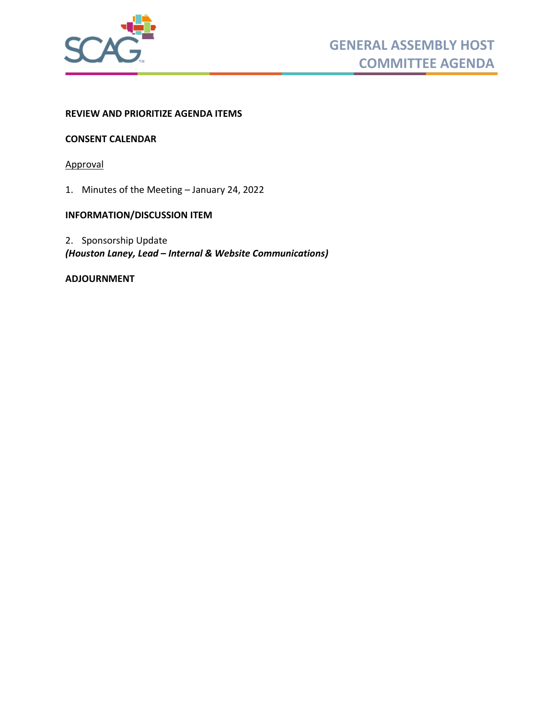

#### **REVIEW AND PRIORITIZE AGENDA ITEMS**

#### **CONSENT CALENDAR**

Approval

1. [Minutes of the Meeting](#page-6-0) – January 24, 2022

#### **INFORMATION/DISCUSSION ITEM**

2. Sponsorship Update *(Houston Laney, Lead – Internal & Website Communications)*

#### **ADJOURNMENT**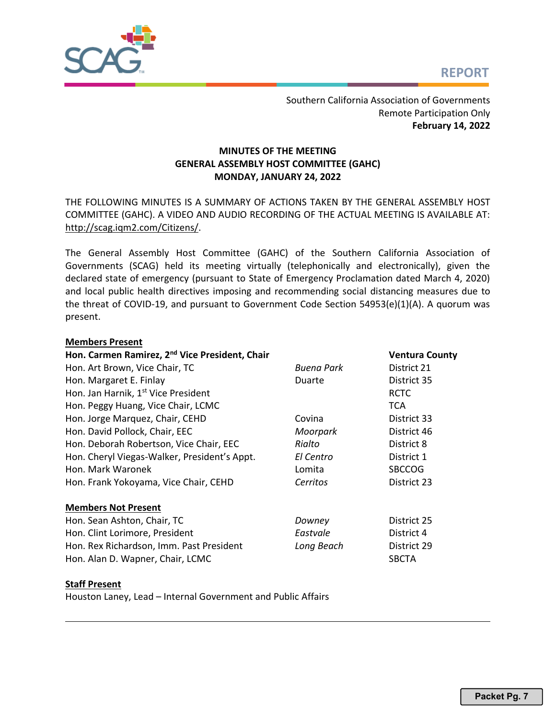<span id="page-6-0"></span>

Southern California Association of Governments Remote Participation Only **February 14, 2022**

#### **MINUTES OF THE MEETING GENERAL ASSEMBLY HOST COMMITTEE (GAHC) MONDAY, JANUARY 24, 2022**

THE FOLLOWING MINUTES IS A SUMMARY OF ACTIONS TAKEN BY THE GENERAL ASSEMBLY HOST COMMITTEE (GAHC). A VIDEO AND AUDIO RECORDING OF THE ACTUAL MEETING IS AVAILABLE AT: [http://scag.iqm2.com/Citizens/.](http://scag.iqm2.com/Citizens/)

The General Assembly Host Committee (GAHC) of the Southern California Association of Governments (SCAG) held its meeting virtually (telephonically and electronically), given the declared state of emergency (pursuant to State of Emergency Proclamation dated March 4, 2020) and local public health directives imposing and recommending social distancing measures due to the threat of COVID-19, and pursuant to Government Code Section 54953(e)(1)(A). A quorum was present.

#### **Members Present**

| Hon. Carmen Ramirez, 2 <sup>nd</sup> Vice President, Chair |                   | <b>Ventura County</b> |
|------------------------------------------------------------|-------------------|-----------------------|
| Hon. Art Brown, Vice Chair, TC                             | <b>Buena Park</b> | District 21           |
| Hon. Margaret E. Finlay                                    | Duarte            | District 35           |
| Hon. Jan Harnik, 1st Vice President                        |                   | <b>RCTC</b>           |
| Hon. Peggy Huang, Vice Chair, LCMC                         |                   | <b>TCA</b>            |
| Hon. Jorge Marquez, Chair, CEHD                            | Covina            | District 33           |
| Hon. David Pollock, Chair, EEC                             | Moorpark          | District 46           |
| Hon. Deborah Robertson, Vice Chair, EEC                    | Rialto            | District 8            |
| Hon. Cheryl Viegas-Walker, President's Appt.               | El Centro         | District 1            |
| Hon. Mark Waronek                                          | Lomita            | <b>SBCCOG</b>         |
| Hon. Frank Yokoyama, Vice Chair, CEHD                      | Cerritos          | District 23           |
| <b>Members Not Present</b>                                 |                   |                       |
| Hon. Sean Ashton, Chair, TC                                | Downey            | District 25           |
| Hon. Clint Lorimore, President                             | Eastvale          | District 4            |
| Hon. Rex Richardson, Imm. Past President                   | Long Beach        | District 29           |
| Hon. Alan D. Wapner, Chair, LCMC                           |                   | <b>SBCTA</b>          |

#### **Staff Present**

Houston Laney, Lead – Internal Government and Public Affairs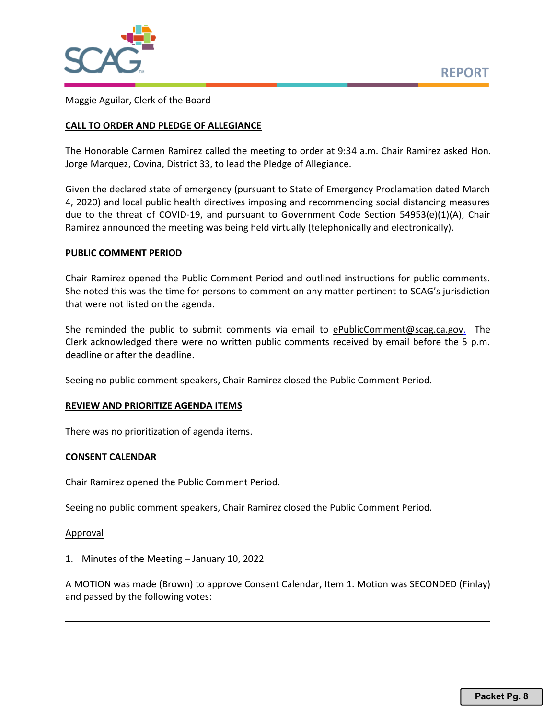



Maggie Aguilar, Clerk of the Board

#### **CALL TO ORDER AND PLEDGE OF ALLEGIANCE**

The Honorable Carmen Ramirez called the meeting to order at 9:34 a.m. Chair Ramirez asked Hon. Jorge Marquez, Covina, District 33, to lead the Pledge of Allegiance.

Given the declared state of emergency (pursuant to State of Emergency Proclamation dated March 4, 2020) and local public health directives imposing and recommending social distancing measures due to the threat of COVID-19, and pursuant to Government Code Section 54953(e)(1)(A), Chair Ramirez announced the meeting was being held virtually (telephonically and electronically).

#### **PUBLIC COMMENT PERIOD**

Chair Ramirez opened the Public Comment Period and outlined instructions for public comments. She noted this was the time for persons to comment on any matter pertinent to SCAG's jurisdiction that were not listed on the agenda.

She reminded the public to submit comments via email to [ePublicComment@scag.ca.gov.](mailto:ePublicComment@scag.ca.gov) The Clerk acknowledged there were no written public comments received by email before the 5 p.m. deadline or after the deadline.

Seeing no public comment speakers, Chair Ramirez closed the Public Comment Period.

#### **REVIEW AND PRIORITIZE AGENDA ITEMS**

There was no prioritization of agenda items.

#### **CONSENT CALENDAR**

Chair Ramirez opened the Public Comment Period.

Seeing no public comment speakers, Chair Ramirez closed the Public Comment Period.

#### Approval

1. Minutes of the Meeting – January 10, 2022

A MOTION was made (Brown) to approve Consent Calendar, Item 1. Motion was SECONDED (Finlay) and passed by the following votes: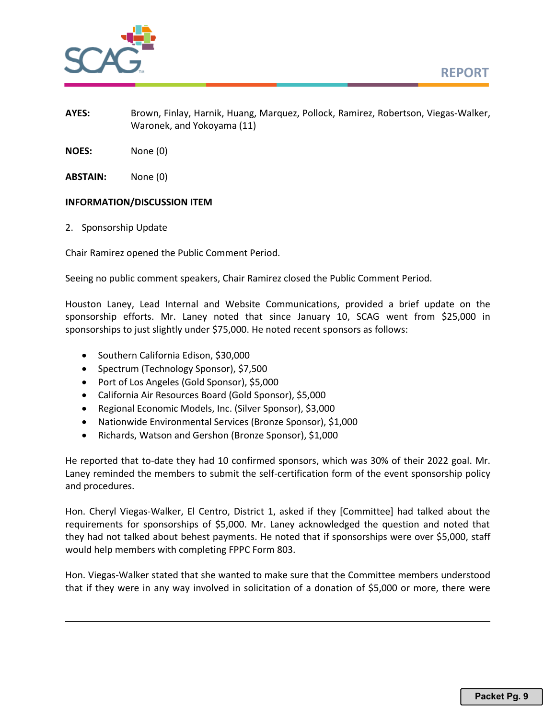



- **AYES:** Brown, Finlay, Harnik, Huang, Marquez, Pollock, Ramirez, Robertson, Viegas-Walker, Waronek, and Yokoyama (11)
- **NOES:** None (0)
- **ABSTAIN:** None (0)

#### **INFORMATION/DISCUSSION ITEM**

2. Sponsorship Update

Chair Ramirez opened the Public Comment Period.

Seeing no public comment speakers, Chair Ramirez closed the Public Comment Period.

Houston Laney, Lead Internal and Website Communications, provided a brief update on the sponsorship efforts. Mr. Laney noted that since January 10, SCAG went from \$25,000 in sponsorships to just slightly under \$75,000. He noted recent sponsors as follows:

- Southern California Edison, \$30,000
- Spectrum (Technology Sponsor), \$7,500
- Port of Los Angeles (Gold Sponsor), \$5,000
- California Air Resources Board (Gold Sponsor), \$5,000
- Regional Economic Models, Inc. (Silver Sponsor), \$3,000
- Nationwide Environmental Services (Bronze Sponsor), \$1,000
- Richards, Watson and Gershon (Bronze Sponsor), \$1,000

He reported that to-date they had 10 confirmed sponsors, which was 30% of their 2022 goal. Mr. Laney reminded the members to submit the self-certification form of the event sponsorship policy and procedures.

Hon. Cheryl Viegas-Walker, El Centro, District 1, asked if they [Committee] had talked about the requirements for sponsorships of \$5,000. Mr. Laney acknowledged the question and noted that they had not talked about behest payments. He noted that if sponsorships were over \$5,000, staff would help members with completing FPPC Form 803.

Hon. Viegas-Walker stated that she wanted to make sure that the Committee members understood that if they were in any way involved in solicitation of a donation of \$5,000 or more, there were